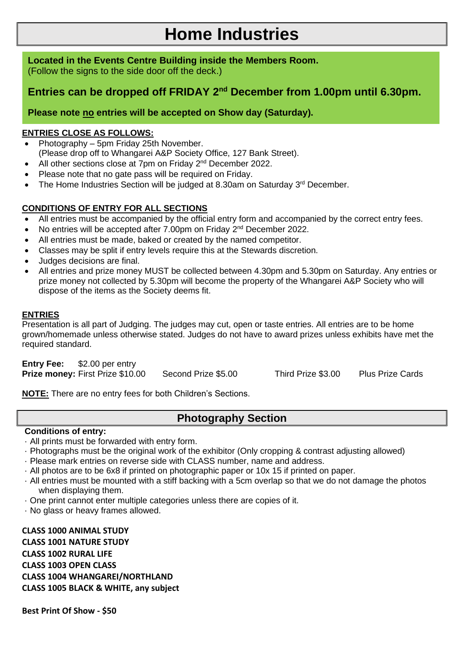# **Home Industries**

**Located in the Events Centre Building inside the Members Room.** 

(Follow the signs to the side door off the deck.)

## **Entries can be dropped off FRIDAY 2<sup>nd</sup> December from 1.00pm until 6.30pm.**

**Please note no entries will be accepted on Show day (Saturday).**

#### **ENTRIES CLOSE AS FOLLOWS:**

- Photography 5pm Friday 25th November. (Please drop off to Whangarei A&P Society Office, 127 Bank Street).
- All other sections close at 7pm on Friday 2<sup>nd</sup> December 2022.
- Please note that no gate pass will be required on Friday.
- The Home Industries Section will be judged at 8.30am on Saturday 3<sup>rd</sup> December.

### **CONDITIONS OF ENTRY FOR ALL SECTIONS**

- All entries must be accompanied by the official entry form and accompanied by the correct entry fees.
- No entries will be accepted after 7.00pm on Friday 2<sup>nd</sup> December 2022.
- All entries must be made, baked or created by the named competitor.
- Classes may be split if entry levels require this at the Stewards discretion.
- Judges decisions are final.
- All entries and prize money MUST be collected between 4.30pm and 5.30pm on Saturday. Any entries or prize money not collected by 5.30pm will become the property of the Whangarei A&P Society who will dispose of the items as the Society deems fit.

#### **ENTRIES**

Presentation is all part of Judging. The judges may cut, open or taste entries. All entries are to be home grown/homemade unless otherwise stated. Judges do not have to award prizes unless exhibits have met the required standard.

**Entry Fee:** \$2.00 per entry **Prize money:** First Prize \$10.00 Second Prize \$5.00 Third Prize \$3.00 Plus Prize Cards

**NOTE:** There are no entry fees for both Children's Sections.

## **Photography Section**

#### **Conditions of entry:**

- · All prints must be forwarded with entry form.
- · Photographs must be the original work of the exhibitor (Only cropping & contrast adjusting allowed)
- · Please mark entries on reverse side with CLASS number, name and address.
- · All photos are to be 6x8 if printed on photographic paper or 10x 15 if printed on paper.
- · All entries must be mounted with a stiff backing with a 5cm overlap so that we do not damage the photos when displaying them.
- · One print cannot enter multiple categories unless there are copies of it.
- · No glass or heavy frames allowed.

**CLASS 1000 ANIMAL STUDY CLASS 1001 NATURE STUDY CLASS 1002 RURAL LIFE CLASS 1003 OPEN CLASS CLASS 1004 WHANGAREI/NORTHLAND CLASS 1005 BLACK & WHITE, any subject**

**Best Print Of Show - \$50**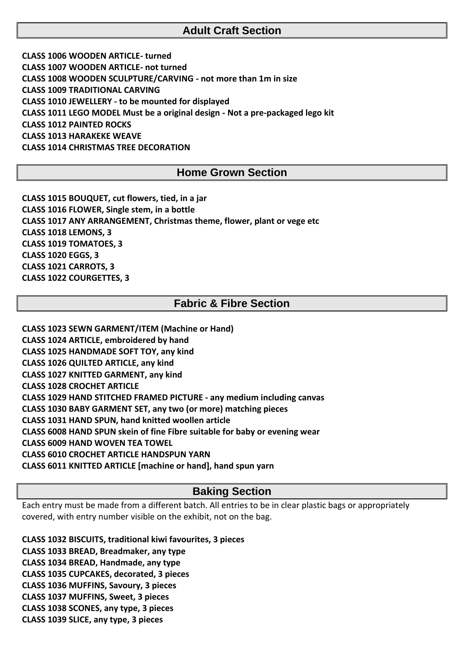## **Adult Craft Section**

**CLASS 1006 WOODEN ARTICLE- turned CLASS 1007 WOODEN ARTICLE- not turned CLASS 1008 WOODEN SCULPTURE/CARVING - not more than 1m in size CLASS 1009 TRADITIONAL CARVING CLASS 1010 JEWELLERY - to be mounted for displayed CLASS 1011 LEGO MODEL Must be a original design - Not a pre-packaged lego kit CLASS 1012 PAINTED ROCKS CLASS 1013 HARAKEKE WEAVE CLASS 1014 CHRISTMAS TREE DECORATION**

### **Home Grown Section**

**CLASS 1015 BOUQUET, cut flowers, tied, in a jar CLASS 1016 FLOWER, Single stem, in a bottle CLASS 1017 ANY ARRANGEMENT, Christmas theme, flower, plant or vege etc CLASS 1018 LEMONS, 3 CLASS 1019 TOMATOES, 3 CLASS 1020 EGGS, 3 CLASS 1021 CARROTS, 3 CLASS 1022 COURGETTES, 3**

### **Fabric & Fibre Section**

**CLASS 1023 SEWN GARMENT/ITEM (Machine or Hand) CLASS 1024 ARTICLE, embroidered by hand CLASS 1025 HANDMADE SOFT TOY, any kind CLASS 1026 QUILTED ARTICLE, any kind CLASS 1027 KNITTED GARMENT, any kind CLASS 1028 CROCHET ARTICLE CLASS 1029 HAND STITCHED FRAMED PICTURE - any medium including canvas CLASS 1030 BABY GARMENT SET, any two (or more) matching pieces CLASS 1031 HAND SPUN, hand knitted woollen article CLASS 6008 HAND SPUN skein of fine Fibre suitable for baby or evening wear CLASS 6009 HAND WOVEN TEA TOWEL CLASS 6010 CROCHET ARTICLE HANDSPUN YARN CLASS 6011 KNITTED ARTICLE [machine or hand], hand spun yarn**

#### **Baking Section**

Each entry must be made from a different batch. All entries to be in clear plastic bags or appropriately covered, with entry number visible on the exhibit, not on the bag.

**CLASS 1032 BISCUITS, traditional kiwi favourites, 3 pieces CLASS 1033 BREAD, Breadmaker, any type CLASS 1034 BREAD, Handmade, any type CLASS 1035 CUPCAKES, decorated, 3 pieces CLASS 1036 MUFFINS, Savoury, 3 pieces CLASS 1037 MUFFINS, Sweet, 3 pieces CLASS 1038 SCONES, any type, 3 pieces CLASS 1039 SLICE, any type, 3 pieces**